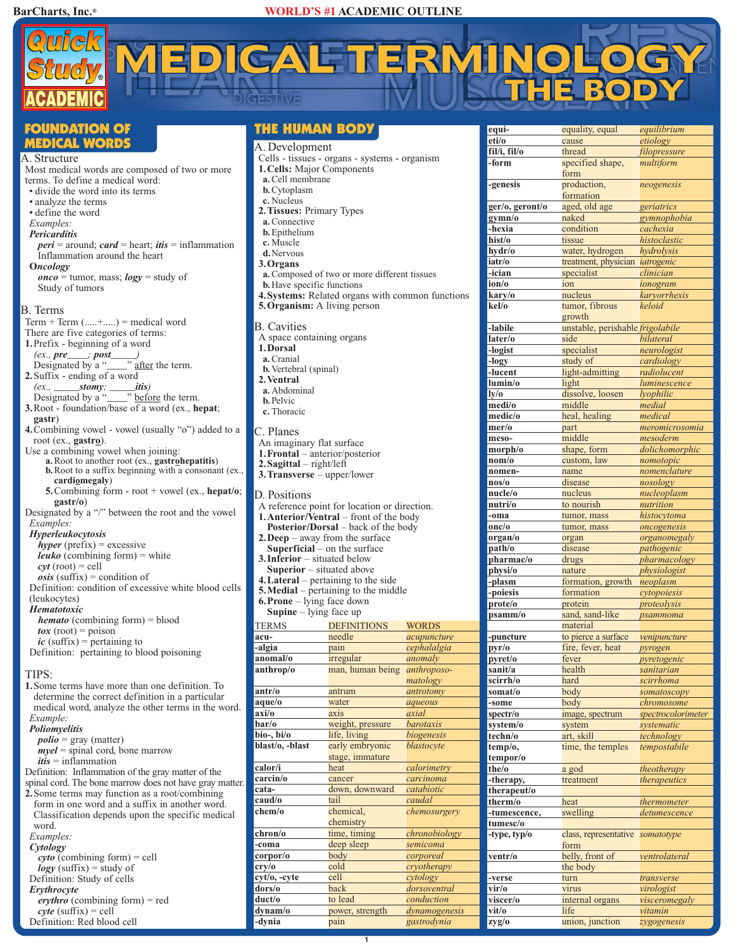### **BarCharts, Inc.® WORLD'S #1 ACADEMIC OUTLINE**

A. Structure Most medical words are composed of two or more terms. To define a medical word: • divide the word into its terms • analyze the terms • define the word *Examples: Pericarditis peri* = around; *card* = heart; *itis* = inflammation Inflammation around the heart **O***ncology onco* = tumor, mass; *logy* = study of Study of tumors B. Terms  $Term + Term (......+......) = medical word$ There are five categories of terms: **1.** Prefix - beginning of a word  $(ex., pre \_\_post$ *(ex., pre\_\_\_\_; post\_\_\_\_\_)*  Designated by a " **2.**Suffix - ending of a word *(ex., \_\_\_\_\_stomy; \_\_\_\_\_itis)*  $\frac{itis}{s}$  before the term. **3.**Root - foundation/base of a word (ex., **hepat**; **gastr**) **4.**Combining vowel - vowel (usually "o") added to a root (ex., **gastro**). Use a combining vowel when joining:<br>**a.** Root to another root (ex., **gastrohepatitis**) **b.**Root to a suffix beginning with a consonant (ex., **cardiomegaly**) **5.**Combining form - root + vowel (ex., **hepat/o**; **gastr/o**) Designated by a "/" between the root and the vowel *Examples: Hyperleukocytosis hyper* (prefix) = excessive *leuko* (combining form) = white  $cvt$  (root) = cell  $\textit{osis}$  (suffix) = condition of Definition: condition of excessive white blood cells (leukocytes) *Hematotoxic hemato* (combining form) = blood  *(root) = poison*  $ic$  (suffix) = pertaining to Definition: pertaining to blood poisoning TIPS: **1.**Some terms have more than one definition. To determine the correct definition in a particular medical word, analyze the other terms in the word. *Example: Poliomyelitis polio* = gray (matter) *myel* = spinal cord, bone marrow *itis* = inflammation Definition: Inflammation of the gray matter of the spinal cord. The bone marrow does not have gray matter. **2.**Some terms may function as a root/combining form in one word and a suffix in another word. Classification depends upon the specific medical word. *Examples: Cytology cyto* (combining form) = cell  $\log y$  (suffix) = study of Definition: Study of cells *Erythrocyte* **MEDICAL WORDS**

*erythro* (combining form) = red

 $\c{cycle}$  (suffix) = cell Definition: Red blood cell

## **FOUNDATION OF THE HUMAN BODY**

#### A. Development

- Cells tissues organs systems organism
- **1.Cells:** Major Components
- **a.**Cell membrane
- **b.**Cytoplasm
- **c.** Nucleus
- **2.Tissues:** Primary Types
- **a.**Connective **b.**Epithelium
- **c.** Muscle

### **d.**Nervous

- **3.Organs**
- **a.**Composed of two or more different tissues **b.**Have specific functions
- **4.Systems:** Related organs with common functions
- **5.Organism:** A living person
- B. Cavities
- A space containing organs
- **1.Dorsal**
- **a.**Cranial
- **b.**Vertebral (spinal)
- **2.Ventral**
- **a.** Abdominal
- **b.**Pelvic **c.** Thoracic

## C. Planes

- An imaginary flat surface
- **1.Frontal** anterior/posterior
- **2.Sagittal** right/left
- **3.Transverse** upper/lower

#### D. Positions

- A reference point for location or direction. 1. Anterior/Ventral – front of the body
- **Posterior/Dorsal** back of the body **2.Deep** – away from the surface
- **Superficial** on the surface
- **3.Inferior** situated below
- **Superior** situated above
- **4.Lateral** pertaining to the side
- **5.Medial** pertaining to the middle
- **6.Prone** lying face down **Supine** – lying face up

| <b>TERMS</b>                  | <b>DEFINITIONS</b> | <b>WORDS</b>     |
|-------------------------------|--------------------|------------------|
| acu-                          | needle             | acupuncture      |
| -algia                        | pain               | cephalalgia      |
| anomal/o                      | irregular          | anomaly          |
| anthrop/o                     | man, human being   | anthroposo-      |
|                               |                    | matology         |
| antr/o                        | antrum             | antrotomy        |
| aque/o                        | water              | aqueous          |
| axi/o                         | axis               | axial            |
| bar/o                         | weight, pressure   | <i>harotaxis</i> |
| bio-, bi/o                    | life, living       | biogenesis       |
| blast/o, -blast               | early embryonic    | blastocyte       |
|                               | stage, immature    |                  |
| calor/i                       | heat               | calorimetry      |
| carcin/o                      | cancer             | carcinoma        |
| cata-                         | down, downward     | catabiotic       |
| caud/o                        | tail               | caudal           |
| chem/o                        | chemical,          | chemosurgery     |
|                               | chemistry          |                  |
| chron/o                       | time, timing       | chronobiology    |
| -coma                         | deep sleep         | semicoma         |
| corpor/o                      | body               | corporeal        |
| $\frac{\text{cry}}{\text{0}}$ | cold               | cryotherapy      |
| cyt/o, -cyte                  | cell               | cytology         |
| dors/o                        | back               | dorsoventral     |
| duct/o                        | to lead            | conduction       |
| dynam/o                       | power, strength    | dynamogenesis    |
| -dynia                        | pain               | gastrodynia      |

| equi-                   | equality, equal                  | equilibrium                 |
|-------------------------|----------------------------------|-----------------------------|
| eti/o                   | cause                            | etiology                    |
| fil/i, fil/o            | thread                           | filopressure                |
| -form                   | specified shape,                 | multiform                   |
|                         | form                             |                             |
| -genesis                | production,                      | neogenesis                  |
|                         | formation                        |                             |
| ger/o, geront/o         | aged, old age                    | geriatrics                  |
| gymn/o                  | naked                            | gymnophobia                 |
| -hexia                  | condition                        | cachexia                    |
| hist/o                  | tissue                           | histoclastic                |
| hvdr/o                  | water, hydrogen                  | hydrolysis                  |
| iatr/o                  | treatment, physician             | iatrogenic                  |
| -ician                  | specialist                       | clinician                   |
| ion/o                   | ion                              | ionogram                    |
| kary/o                  | nucleus                          | karvorrhexis<br>keloid      |
| kel/o                   | tumor, fibrous<br>growth         |                             |
| -labile                 | unstable, perishable frigolabile |                             |
| later/o                 | side                             | bilateral                   |
| -logist                 | specialist                       | neurologist                 |
| -logy                   | study of                         | cardiology                  |
| -lucent                 | light-admitting                  | radiolucent                 |
| lumin/o                 | light                            | luminescence                |
| ly/o                    | dissolve, loosen                 | lyophilic                   |
| medi/o                  | middle                           | medial                      |
| medic/o                 | heal, healing                    | medical                     |
| mer/o                   | part                             | meromicrosomia              |
| meso-                   | middle                           | mesoderm                    |
| morph/o                 | shape, form                      | dolichomorphic              |
| nom/o                   | custom, law                      | nomotopic                   |
| nomen-                  | name                             | nomenclature                |
| nos/o                   | disease                          | nosology                    |
| nucle/o                 | nucleus                          | nucleoplasm                 |
| nutri/o                 | to nourish                       | nutrition                   |
| -oma                    | tumor, mass                      | histocytoma                 |
| onc/o                   | tumor, mass                      | oncogenesis                 |
| organ/o                 | organ                            | organomegaly                |
| path/o                  | disease                          | pathogenic                  |
| pharmac/o               | drugs                            | pharmacology                |
| physi/o<br>-plasm       | nature                           | physiologist                |
| -poiesis                | formation, growth<br>formation   | neoplasm<br>cytopoiesis     |
| prote/o                 | protein                          | proteolysis                 |
| psamm/o                 | sand, sand-like                  | psammoma                    |
|                         | material                         |                             |
| -puncture               | to pierce a surface              | venipuncture                |
| pyr/o                   | fire, fever, heat                | pyrogen                     |
| pyret/o                 | fever                            | pyretogenic                 |
| sanit/a                 | health                           | sanitarian                  |
| scirrh/o                | hard                             | scirrhoma                   |
| somat/o                 | body                             | somatoscopy                 |
| -some                   | body                             | chromosome                  |
| spectr/o                | image, spectrum                  | spectrocolorimeter          |
| system/o                | system                           | systematic                  |
| techn/o                 | art, skill                       | technology                  |
| temp/o,                 | time, the temples                | tempostabile                |
| tempor/o                |                                  |                             |
| the/o                   | a god                            | theotherapy                 |
| -therapy,               | treatment                        | therapeutics                |
| therapeut/o             |                                  |                             |
| therm/o<br>-tumescence, | heat<br>swelling                 | thermometer<br>detumescence |
| tumesc/o                |                                  |                             |
| -type, typ/o            | class, representative            | somatotype                  |
|                         | form                             |                             |
| ventr/o                 | belly, front of                  | ventrolateral               |
|                         | the body                         |                             |
| -verse                  | turn                             | transverse                  |
| vir/o                   | virus                            | virologist                  |
| viscer/o                | internal organs                  | visceromegaly               |
| vit/o                   | life                             | vitamin                     |
| zyg/o                   | union, junction                  | zygogenesis                 |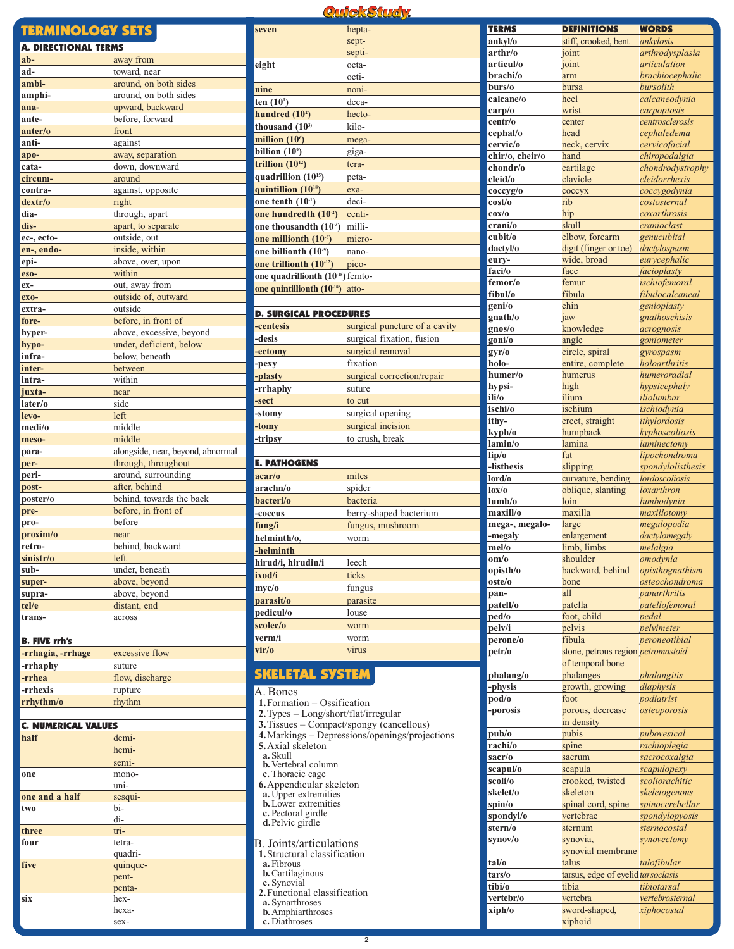

|                             |                                   |                                                  | TERM TREAD &                                   |                  |                                           |                   |
|-----------------------------|-----------------------------------|--------------------------------------------------|------------------------------------------------|------------------|-------------------------------------------|-------------------|
| <b>TERMINOLOGY SETS</b>     |                                   | seven                                            | hepta-                                         | <b>TERMS</b>     | <b>DEFINITIONS</b>                        | <b>WORDS</b>      |
|                             |                                   |                                                  | sept-                                          | ankvl/o          | stiff, crooked, bent                      | ankylosis         |
| <b>A. DIRECTIONAL TERMS</b> |                                   |                                                  | septi-                                         | arthr/o          | joint                                     | arthrodysplasia   |
| ab-                         | away from                         | eight                                            | octa-                                          | articul/o        | joint                                     | articulation      |
| ad-                         | toward, near                      |                                                  | octi-                                          | brachi/o         | arm                                       | brachiocephalic   |
| ambi-                       | around, on both sides             |                                                  |                                                | burs/o           | bursa                                     | bursolith         |
| amphi-                      | around, on both sides             | nine                                             | noni-                                          | calcane/o        | heel                                      | calcaneodynia     |
| ana-                        | upward, backward                  | ten $(101)$                                      | deca-                                          |                  | wrist                                     |                   |
| ante-                       | before, forward                   | hundred $(102)$                                  | hecto-                                         | carp/o           |                                           | carpoptosis       |
| anter/o                     | front                             | thousand (10 <sup>3)</sup>                       | kilo-                                          | centr/o          | center                                    | centrosclerosis   |
| anti-                       | against                           | million $(10^{\circ})$                           | mega-                                          | cephal/o         | head                                      | cephaledema       |
|                             |                                   | billion $(10^{\circ})$                           | giga-                                          | cervic/o         | neck, cervix                              | cervicofacial     |
| apo-                        | away, separation                  | trillion $(10^{12})$                             | tera-                                          | chir/o, cheir/o  | hand                                      | chiropodalgia     |
| cata-                       | down, downward                    | quadrillion (10 <sup>15</sup> )                  |                                                | chondr/o         | cartilage                                 | chondrodystrophy  |
| circum-                     | around                            |                                                  | peta-                                          | cleid/o          | clavicle                                  | cleidorrhexis     |
| contra-                     | against, opposite                 | quintillion $(10^{18})$                          | exa-                                           | coccyg/o         | соссух                                    | coccygodynia      |
| dextr/o                     | right                             | one tenth $(10-1)$                               | deci-                                          | cost/o           | rib                                       | costosternal      |
| dia-                        | through, apart                    | one hundredth $(102)$                            | centi-                                         | $\cos/\sigma$    | hip                                       | coxarthrosis      |
| dis-                        | apart, to separate                | one thousandth (10-3)                            | milli-                                         | crani/o          | skull                                     | cranioclast       |
| ec-, ecto-                  | outside, out                      | one millionth $(106)$                            | micro-                                         | cubit/o          | elbow, forearm                            | genucubital       |
| en-, endo-                  | inside, within                    | one billionth (10°)                              | nano-                                          | dactvl/o         | digit (finger or toe)                     | dactylospasm      |
| epi-                        | above, over, upon                 | one trillionth $(10^{-12})$                      | pico-                                          | eury-            | wide, broad                               | eurycephalic      |
| eso-                        | within                            |                                                  |                                                | faci/o           | face                                      | facioplasty       |
| ex-                         | out, away from                    | one quadrillionth (10-15) femto-                 |                                                | femor/o          | femur                                     | ischiofemoral     |
|                             | outside of, outward               | one quintillionth $(10^{18})$ atto-              |                                                | fibul/o          | fibula                                    | fibulocalcaneal   |
| exo-                        |                                   |                                                  |                                                | geni/o           | chin                                      | genioplasty       |
| extra-                      | outside                           | <b>D. SURGICAL PROCEDURES</b>                    |                                                | gnath/o          | jaw                                       | gnathoschisis     |
| fore-                       | before, in front of               | -centesis                                        | surgical puncture of a cavity                  | gnos/o           | knowledge                                 | acrognosis        |
| hyper-                      | above, excessive, beyond          | -desis                                           | surgical fixation, fusion                      | goni/o           | angle                                     | goniometer        |
| hypo-                       | under, deficient, below           |                                                  |                                                |                  |                                           |                   |
| infra-                      | below, beneath                    | -ectomy                                          | surgical removal                               | gyr/o            | circle, spiral                            | gyrospasm         |
| inter-                      | between                           | pexy                                             | fixation                                       | holo-            | entire, complete                          | holoarthritis     |
| intra-                      | within                            | <b>plasty</b>                                    | surgical correction/repair                     | humer/o          | humerus                                   | humeroradial      |
| juxta-                      | near                              | -rrhaphy                                         | suture                                         | hypsi-           | high                                      | hypsicephaly      |
| later/o                     | side                              | -sect                                            | to cut                                         | ili/o            | ilium                                     | iliolumbar        |
| levo-                       | left                              | -stomy                                           | surgical opening                               | ischi/o          | ischium                                   | ischiodynia       |
| medi/o                      | middle                            | -tomy                                            | surgical incision                              | ithy-            | erect, straight                           | ithylordosis      |
|                             |                                   | -tripsy                                          | to crush, break                                | kyph/o           | humpback                                  | kyphoscoliosis    |
| meso-                       | middle                            |                                                  |                                                | lamin/o          | lamina                                    | laminectomy       |
| para-                       | alongside, near, beyond, abnormal |                                                  |                                                | lip/o            | fat                                       | lipochondroma     |
| per-                        | through, throughout               | <b>E. PATHOGENS</b>                              |                                                | <b>listhesis</b> | slipping                                  | spondylolisthesis |
| peri-                       | around, surrounding               | acar/o                                           | mites                                          | lord/o           | curvature, bending                        | lordoscoliosis    |
| post-                       | after, behind                     | arachn/o                                         | spider                                         | lox/o            | oblique, slanting                         | loxarthron        |
| poster/o                    | behind, towards the back          | bacteri/o                                        | bacteria                                       | lumb/o           | loin                                      | lumbodynia        |
| pre-                        | before, in front of               | -coccus                                          | berry-shaped bacterium                         | maxill/o         | maxilla                                   | maxillotomy       |
| pro-                        | before                            | fung/i                                           | fungus, mushroom                               | mega-, megalo-   | large                                     | megalopodia       |
| proxim/o                    | near                              | helminth/o.                                      | worm                                           | -megaly          | enlargement                               | dactylomegaly     |
| retro-                      | behind, backward                  |                                                  |                                                | mel/o            | limb, limbs                               | melalgia          |
| sinistr/o                   | left                              | helminth                                         |                                                | om/o             | shoulder                                  | omodynia          |
| sub-                        | under, beneath                    | hirud/i, hirudin/i                               | leech                                          | opisth/o         | backward, behind                          | opisthognathism   |
|                             | above, beyond                     | ixod/i                                           | ticks                                          | oste/o           | bone                                      | osteochondroma    |
| super-                      | above, beyond                     | myc/o                                            | fungus                                         | pan-             | all                                       | panarthritis      |
| supra-                      |                                   | parasit/o                                        | parasite                                       | patell/o         | patella                                   | patellofemoral    |
| tel/e                       | distant, end                      | pedicul/o                                        | louse                                          |                  |                                           | pedal             |
| trans-                      | across                            | scolec/o                                         | worm                                           | ped/o            | foot, child                               |                   |
|                             |                                   | verm/i                                           |                                                | pelv/i           | pelvis                                    | pelvimeter        |
| <b>B. FIVE rrh's</b>        |                                   |                                                  | worm                                           | perone/o         | fibula                                    | peroneotibial     |
| -rrhagia, -rrhage           | excessive flow                    | vir/o                                            | virus                                          | petr/o           | stone, petrous region <i>petromastoid</i> |                   |
| -rrhaphy                    | suture                            |                                                  |                                                |                  | of temporal bone                          |                   |
| -rrhea                      | flow, discharge                   | <b>SKELETAL SYSTEM</b>                           |                                                | phalang/o        | phalanges                                 | phalangitis       |
| -rrhexis                    | rupture                           | A. Bones                                         |                                                | -physis          | growth, growing                           | diaphysis         |
| rrhythm/o                   | rhythm                            | 1. Formation - Ossification                      |                                                | pod/o            | foot                                      | podiatrist        |
|                             |                                   | $2. Types - Long/short/flat/irregular$           |                                                | porosis          | porous, decrease                          | osteoporosis      |
| <b>C. NUMERICAL VALUES</b>  |                                   |                                                  | $3. Tissues - Compact/spongy (cancellation)$   |                  | in density                                |                   |
| half                        | demi-                             |                                                  | 4. Markings - Depressions/openings/projections | pub/o            | pubis                                     | pubovesical       |
|                             |                                   | 5. Axial skeleton                                |                                                | rachi/o          | spine                                     | rachioplegia      |
|                             | hemi-                             | a. Skull                                         |                                                | sacr/o           | sacrum                                    | sacrocoxalgia     |
|                             | semi-                             | <b>b.</b> Vertebral column                       |                                                | scapul/o         | scapula                                   | scapulopexy       |
| one                         | mono-                             | c. Thoracic cage                                 |                                                | scoli/o          | crooked, twisted                          | scoliorachitic    |
|                             | uni-                              | 6. Appendicular skeleton<br>a. Üpper extremities |                                                | skelet/o         | skeleton                                  | skeletogenous     |
| one and a half              | sesqui-                           | <b>b.</b> Lower extremities                      |                                                | spin/o           | spinal cord, spine                        | spinocerebellar   |
| two                         | bi-                               | c. Pectoral girdle                               |                                                | spondyl/o        | vertebrae                                 | spondylopyosis    |
|                             | di-                               | d. Pelvic girdle                                 |                                                | stern/o          | sternum                                   | sternocostal      |
| three                       | tri-                              |                                                  |                                                |                  |                                           |                   |
| four                        | tetra-                            | <b>B.</b> Joints/articulations                   |                                                | synov/o          | synovia,                                  | synovectomy       |
|                             | quadri-                           | 1. Structural classification                     |                                                |                  | synovial membrane                         |                   |
| five                        | quinque-                          | a. Fibrous                                       |                                                | tal/o            | talus                                     | talofibular       |
|                             | pent-                             | <b>b.</b> Cartilaginous<br>c. Synovial           |                                                | tars/o           | tarsus, edge of eyelid <i>tarsoclasis</i> |                   |
|                             | penta-                            | 2. Functional classification                     |                                                | tibi/o           | tibia                                     | tibiotarsal       |
| six                         | hex-                              | a. Synarthroses                                  |                                                | vertebr/o        | vertebra                                  | vertebrosternal   |
|                             | hexa-                             | <b>b.</b> Amphiarthroses                         |                                                | xiph/o           | sword-shaped,                             | xiphocostal       |
|                             | sex-                              | c. Diathroses                                    |                                                |                  | xiphoid                                   |                   |

 $\overline{2}$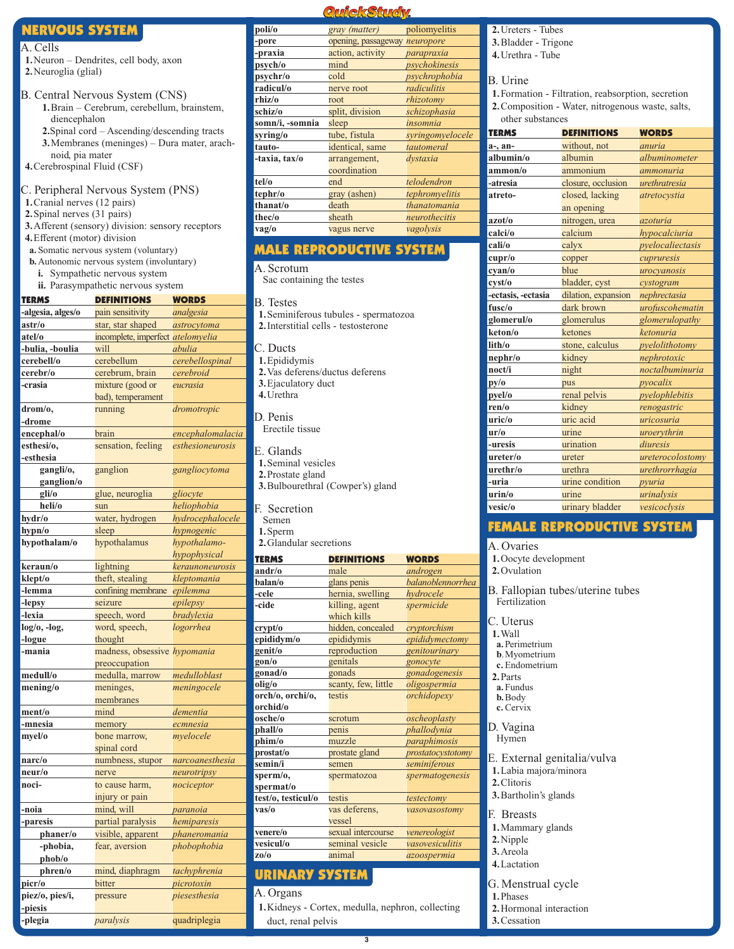### **NERVOUS SYSTEM**

#### A. Cells

- **1.**Neuron Dendrites, cell body, axon
- **2.**Neuroglia (glial)
- B. Central Nervous System (CNS) **1.**Brain – Cerebrum, cerebellum, brainstem,
	- diencephalon **2.**Spinal cord – Ascending/descending tracts
	- **3.**Membranes (meninges) Dura mater, arachnoid, pia mater
- **4.**Cerebrospinal Fluid (CSF)

#### C. Peripheral Nervous System (PNS)

- **1.**Cranial nerves (12 pairs)
- **2.**Spinal nerves (31 pairs)
- **3.**Afferent (sensory) division: sensory receptors
- **4.**Efferent (motor) division
- **a.** Somatic nervous system (voluntary)
- **b.**Autonomic nervous system (involuntary)
	- **i.** Sympathetic nervous system
	- **ii.** Parasympathetic nervous system

#### **TERMS DEFINITIONS WORDS -algesia, alges/o** pain sensitivity *analgesia* **astr/o** star, star shaped *astrocytoma* **atel/o** incomplete, imperfect *atelomyelia* **-bulia, -boulia** will *abulia* **cerebell/o** cerebellum *cerebellospinal* **cerebr/o** cerebrum, brain *cerebroid* **-crasia** mixture (good or *eucrasia* bad), temperament **drom/o,** running *dromotropic* **-drome encephal/o** brain *encephalomalacia* **esthesi/o,** sensation, feeling *esthesioneurosis* **-esthesia** ganglion *gangliocytoma* **ganglion/o gli/o** glue, neuroglia *gliocyte* **heli/o** sun *heliophobia* **hydr/o** water, hydrogen *hydrocephalocele* **hypn/o** sleep *hypnogenic* **hypothalam/o** hypothalamus *hypothalamohypophysical* **keraun/o** lightning *keraunoneurosis* **klept/o** theft, stealing *kleptomania* **-lemma** confining membrane *epilemma* **-lepsy** seizure *epilepsy* **-lexia** speech, word *bradylexia* **log/o, -log,** word, speech, *logorrhea <u>blogue</u>* thought **-mania** madness, obsessive *hypomania* preoccupation **medull/o** medulla, marrow *medulloblast* **mening/o** meninges, *meningocele* membranes **ment/o** mind *dementia* **-mnesia** memory *ecmnesia* **myel/o** bone marrow, *myelocele* spinal cord **narc/o** numbness, stupor *narcoanesthesia* **neur/o** nerve *neurotripsy* **noci-** to cause harm, *nociceptor* injury or pain **-noia** mind, will *paranoia* **-paresis** partial paralysis *hemiparesis* **phaner/o** visible, apparent *phaneromania* **-phobia,** fear, aversion *phobophobia* **phob/o phren/o** mind, diaphragm *tachyphrenia* **picr/o** bitter *picrotoxin* **piez/o, pies/i,** pressure *piesesthesia* **-piesis -plegia** *paralysis* quadriplegia

| poli/o          | gray (matter)                 | poliomyelitis    |
|-----------------|-------------------------------|------------------|
| -pore           | opening, passageway neuropore |                  |
| -praxia         | action, activity              | parapraxia       |
| psych/o         | mind                          | psychokinesis    |
| psychr/o        | cold                          | psychrophobia    |
| radicul/o       | nerve root                    | radiculitis      |
| rhiz/o          | root                          | rhizotomy        |
| schiz/o         | split, division               | schizophasia     |
| somn/i, -somnia | sleep                         | insomnia         |
| syring/o        | tube, fistula                 | syringomyelocele |
| tauto-          | identical, same               | tautomeral       |
| -taxia, tax/o   | arrangement,                  | dystaxia         |
|                 | coordination                  |                  |
| tel/o           | end                           | telodendron      |
| tephr/o         | gray (ashen)                  | tephromyelitis   |
| thanat/o        | death                         | thanatomania     |
| thec/o          | sheath                        | neurothecitis    |
| vag/o           | vagus nerve                   | vagolysis        |

**QuickStudy** 

### **MALE REPRODUCTIVE SYSTEM**

#### A. Scrotum

Sac containing the testes

- **1.**Seminiferous tubules spermatozoa
- **2.**Interstitial cells testosterone
- C. Ducts
- **1.**Epididymis
- **2.**Vas deferens/ductus deferens
- **3.**Ejaculatory duct **4.**Urethra

### D. Penis

Erectile tissue

E. Glands

- **1.**Seminal vesicles
- **2.**Prostate gland
- **3.**Bulbourethral (Cowper's) gland
- F. Secretion
- Semen
- **1.**Sperm
- **2.**Glandular secretions

| <b>TERMS</b>       | <b>WORDS</b><br><b>DEFINITIONS</b> |                   |
|--------------------|------------------------------------|-------------------|
| andr/o             | male                               | androgen          |
| balan/o            | glans penis                        | balanoblennorrhea |
| -cele              | hernia, swelling                   | hvdrocele         |
| -cide              | killing, agent                     | spermicide        |
|                    | which kills                        |                   |
| crypt/o            | hidden, concealed                  | cryptorchism      |
| epididym/o         | epididymis                         | epididymectomy    |
| genit/o            | reproduction                       | genitourinary     |
| gon/o              | genitals                           | gonocyte          |
| gonad/o            | gonads                             | gonadogenesis     |
| olig/o             | scanty, few, little                | oligospermia      |
| orch/o, orchi/o,   | testis                             | orchidopexy       |
| orchid/o           |                                    |                   |
| osche/o            | scrotum                            | oscheoplasty      |
| phall/o            | penis                              | phallodynia       |
| phim/o             | muzzle                             | paraphimosis      |
| prostat/o          | prostate gland                     | prostatocystotomy |
| semin/i            | semen                              | seminiferous      |
| sperm/o,           | spermatozoa                        | spermatogenesis   |
| spermat/o          |                                    |                   |
| test/o, testicul/o | testis                             | testectomy        |
| vas/o              | vas deferens,                      | vasovasostomy     |
|                    | vessel                             |                   |
| venere/o           | sexual intercourse                 | venereologist     |
| vesicul/o          | seminal vesicle                    | vasovesiculitis   |
| zo/o               | animal                             | azoospermia       |

## **URINARY SYSTEM**

### A. Organs

**1.**Kidneys - Cortex, medulla, nephron, collecting duct, renal pelvis

### **2.**Ureters - Tubes

- **3.**Bladder Trigone
- **4.**Urethra Tube

#### B. Urine

- **1.**Formation Filtration, reabsorption, secretion **2.**Composition - Water, nitrogenous waste, salts,
- other substances

| <b>TERMS</b>       | <b>DEFINITIONS</b>  | <b>WORDS</b>     |
|--------------------|---------------------|------------------|
| a-, an-            | without, not        | anuria           |
| albumin/o          | albumin             | albuminometer    |
| ammon/o            | ammonium            | ammonuria        |
| -atresia           | closure, occlusion  | urethratresia    |
| atreto-            | closed, lacking     | atretocystia     |
|                    | an opening          |                  |
| azot/o             | nitrogen, urea      | azoturia         |
| calci/o            | calcium             | hypocalciuria    |
| cali/o             | calyx               | pyelocaliectasis |
| $cup$ r/o          | copper              | cupruresis       |
| cvan/o             | blue                | urocyanosis      |
| cvst/o             | bladder, cyst       | cystogram        |
| -ectasis, -ectasia | dilation, expansion | nephrectasia     |
| fusc/o             | dark brown          | urofuscohematin  |
| glomerul/o         | glomerulus          | glomerulopathy   |
| keton/o            | ketones             | ketonuria        |
| lith/o             | stone, calculus     | pyelolithotomy   |
| nephr/o            | kidney              | nephrotoxic      |
| noct/i             | night               | noctalbuminuria  |
| py/o               | pus                 | pyocalix         |
| pyel/o             | renal pelvis        | pyelophlebitis   |
| ren/o              | kidney              | renogastric      |
| uric/o             | uric acid           | uricosuria       |
| ur/o               | urine               | uroerythrin      |
| -uresis            | urination           | diuresis         |
| ureter/o           | ureter              | ureterocolostomy |
| urethr/o           | urethra             | urethrorrhagia   |
| -uria              | urine condition     | pvuria           |
| urin/o             | urine               | urinalysis       |
| vesic/o            | urinary bladder     | vesicoclysis     |

### **FEMALE REPRODUCTIVE SYSTEM**

#### A. Ovaries

- **1.**Oocyte development
- **2.**Ovulation
- B. Fallopian tubes/uterine tubes Fertilization
- C. Uterus
- **1.**Wall **a.** Perimetrium
- **b**.Myometrium
- **c.** Endometrium
- **2.**Parts
- **a.** Fundus
- **b.**Body
- **c.** Cervix

D. Vagina Hymen

- E. External genitalia/vulva
- **1.**Labia majora/minora
- **2.**Clitoris
- **3.**Bartholin's glands
- F. Breasts
- **1.**Mammary glands
- **2.**Nipple
- **3.**Areola
- **4.**Lactation
- G. Menstrual cycle
- **1.**Phases
- **2.**Hormonal interaction **3.**Cessation
- 

# B. Testes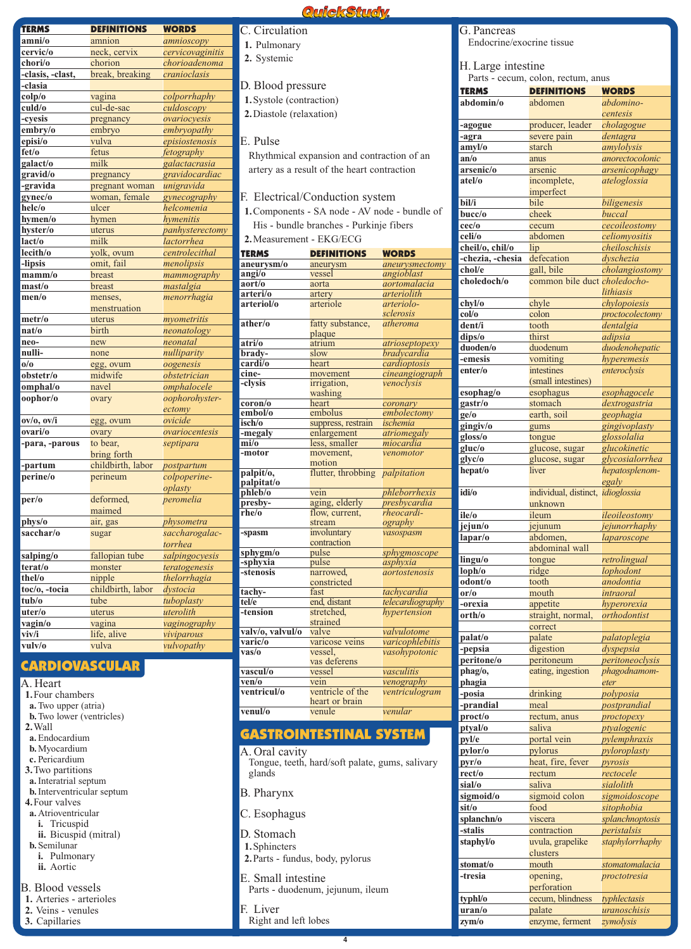| <b>TERMS</b>     | <b>DEFINITIONS</b>      | <b>WORDS</b>     |
|------------------|-------------------------|------------------|
| amni/o           | amnion                  | amnioscopy       |
| cervic/o         | neck, cervix            | cervicovaginitis |
| chori/o          | chorion                 | chorioadenoma    |
| -clasis, -clast, | break, breaking         | cranioclasis     |
| -clasia          |                         |                  |
| $\frac{colp}{o}$ | vagina                  | colporrhaphy     |
| culd/o           | cul-de-sac              | culdoscopy       |
| -cyesis          | pregnancy               | ovariocyesis     |
| embry/o          | embryo                  | embryopathy      |
| episi/o          | vulva                   | episiostenosis   |
| fet/o            | fetus                   | fetography       |
| galact/o         | milk                    | galactacrasia    |
| gravid/o         | pregnancy               | gravidocardiac   |
| -gravida         | pregnant woman          | unigravida       |
| gynec/o          | woman, female           | gynecography     |
| helc/o           | ulcer                   | helcomenia       |
| hymen/o          | hymen                   | hymenitis        |
| hyster/o         | uterus                  | panhysterectomy  |
| lact/o           | milk                    | lactorrhea       |
| lecith/o         | yolk, ovum              | centrolecithal   |
| -lipsis          | omit, fail              | menolipsis       |
| mamm/o           | breast                  | mammography      |
| mast/o           | breast                  | mastalgia        |
| men/o            | menses,                 | menorrhagia      |
|                  | menstruation            |                  |
| metr/o           | uterus                  | myometritis      |
| nat/o            | birth                   | neonatology      |
| neo-             | new                     | neonatal         |
| nulli-           | none                    | nulliparity      |
| 0/0              | egg, ovum               | oogenesis        |
| obstetr/o        | midwife                 | obstetrician     |
| omphal/o         | navel                   | omphalocele      |
| oophor/o         | ovary                   | oophorohyster-   |
|                  |                         | ectomy           |
| ov/o, ov/i       | egg, ovum               | ovicide          |
| ovari/o          | ovary                   | ovariocentesis   |
| -para, -parous   | to bear,<br>bring forth | septipara        |
| -partum          | childbirth, labor       | postpartum       |
| perine/o         | perineum                | colpoperine-     |
|                  |                         | oplasty          |
| per/o            | deformed,               | peromelia        |
|                  | maimed                  |                  |
| phys/o           | air, gas                | physometra       |
| sacchar/o        | sugar                   | saccharogalac-   |
|                  |                         | torrhea          |
| salping/o        | fallopian tube          | salpingocyesis   |
| terat/o          | monster                 | teratogenesis    |
| thel/o           | nipple                  | thelorrhagia     |
| toc/o, -tocia    | childbirth, labor       | dystocia         |
| tub/o            | tube                    | tuboplasty       |
| uter/o           | uterus                  | uterolith        |
| vagin/o          | vagina                  | vaginography     |
| viv/i            | life, alive             | viviparous       |
| vulv/o           | vulva                   | vulvopathy       |
|                  |                         |                  |

### **CARDIOVASCULAR**

#### A. Heart

- **1.**Four chambers
- **a.**Two upper (atria) **b.**Two lower (ventricles) **2.**Wall **a.**Endocardium **b.**Myocardium **c.** Pericardium
- **3.**Two partitions
- **a.**Interatrial septum
- **b.**Interventricular septum
- **4.**Four valves **a.** Atrioventricular
- **i.** Tricuspid
- **ii.** Bicuspid (mitral) **b.**Semilunar
- **i.** Pulmonary
- **ii.** Aortic
- B. Blood vessels
- **1.** Arteries arterioles
- **2.** Veins venules
- **3.** Capillaries



- **1.** Pulmonary
- **2.** Systemic

C. Circulation

- D. Blood pressure
- **1.**Systole (contraction)
- **2.**Diastole (relaxation)
- E. Pulse
- Rhythmical expansion and contraction of an artery as a result of the heart contraction
- F. Electrical/Conduction system
- **1.**Components SA node AV node bundle of His - bundle branches - Purkinje fibers
- **2.**Measurement EKG/ECG

| <b>TERMS</b>                       | <b>DEFINITIONS</b>                    | <b>WORDS</b>                 |
|------------------------------------|---------------------------------------|------------------------------|
| aneurysm/o                         | aneurysm                              | aneurysmectomy               |
| angi/o                             | vessel                                | angioblast                   |
| aort/o                             | aorta                                 | aortomalacia                 |
| arteri/o                           | artery                                | arteriolith                  |
| arteriol/o                         | arteriole                             | arteriolo-                   |
|                                    |                                       | sclerosis                    |
| ather/o                            | fatty substance,                      | atheroma                     |
|                                    | plaque                                |                              |
| atri/o                             | atrium                                | atrioseptopexy               |
| bradv-                             | slow                                  | bradvcardia                  |
| $\overline{\text{cardi}/\text{o}}$ | heart                                 | cardioptosis                 |
| cine-                              | movement                              | cineangiograph               |
| -clysis                            | irrigation,                           | venoclysis                   |
|                                    | washing                               |                              |
| coron/o                            | heart                                 | coronary                     |
| embol/o                            | embolus                               | embolectomy                  |
| isch/o                             | suppress, restrain                    | ischemia                     |
| -megaly                            | enlargement                           | atriomegaly                  |
| $\overline{\text{mi/o}}$           | less, smaller                         | miocardia                    |
| -motor                             | movement,                             | venomotor                    |
|                                    | motion                                |                              |
| palpit/o,                          | flutter, throbbing <i>palpitation</i> |                              |
| palpitat/o                         |                                       |                              |
| phleb/o                            | vein                                  | phleborrhexis                |
| presby-                            | aging, elderly                        | presbycardia                 |
| rhe/o                              | flow, current,                        | rheocardi-                   |
|                                    | stream                                | ography                      |
| -spasm                             | involuntary                           | vasospasm                    |
|                                    | contraction                           |                              |
| sphygm/o                           | pulse                                 | sphygmoscope                 |
| -sphyxia                           | pulse                                 | asphyxia                     |
| -stenosis                          | narrowed,                             | aortostenosis                |
|                                    | constricted                           |                              |
| tachy-                             | fast                                  | tachycardia                  |
| tel/e<br>-tension                  | end, distant                          | telecardiography             |
|                                    | stretched,                            | hypertension                 |
| valv/o, valvul/o                   | strained<br>valve                     | valvulotome                  |
| varic/o                            |                                       |                              |
| vas/o                              | varicose veins<br>vessel.             | varicophlebitis              |
|                                    |                                       | vasohypotonic                |
| vascul/o                           | vas deferens<br>vessel                | vasculitis                   |
| ven/o                              | vein                                  |                              |
| ventricul/o                        | ventricle of the                      | venography<br>ventriculogram |
|                                    | heart or brain                        |                              |
| venul/o                            | venule                                | venular                      |
|                                    |                                       |                              |

- **GASTROINTESTINAL SYSTEM**
- A. Oral cavity
- Tongue, teeth, hard/soft palate, gums, salivary glands
- B. Pharynx
- C. Esophagus
- D. Stomach
- **1.**Sphincters
- **2.**Parts fundus, body, pylorus
- E. Small intestine Parts - duodenum, jejunum, ileum
- F. Liver Right and left lobes

| G. Pancreas               |                                    |                        |  |  |
|---------------------------|------------------------------------|------------------------|--|--|
| Endocrine/exocrine tissue |                                    |                        |  |  |
|                           |                                    |                        |  |  |
| H. Large intestine        |                                    |                        |  |  |
|                           | Parts - cecum, colon, rectum, anus |                        |  |  |
|                           |                                    |                        |  |  |
| <b>TERMS</b>              | <b>DEFINITIONS</b>                 | <b>WORDS</b>           |  |  |
| abdomin/o                 | abdomen                            | abdomino-              |  |  |
|                           |                                    | centesis               |  |  |
| -agogue                   | producer, leader<br>severe pain    | cholagogue<br>dentagra |  |  |
| -agra<br>amyl/o           | starch                             | amylolysis             |  |  |
| an/o                      | anus                               | anorectocolonic        |  |  |
| arsenic/o                 | arsenic                            | arsenicophagy          |  |  |
| atel/o                    | incomplete,                        | ateloglossia           |  |  |
|                           | imperfect                          |                        |  |  |
| bil/i                     | bile                               | biligenesis            |  |  |
| bucc/o                    | cheek                              | buccal                 |  |  |
| cec/o                     | cecum                              | cecoileostomy          |  |  |
| celi/o                    | abdomen                            | celiomyositis          |  |  |
| cheil/o, chil/o           | lip                                | cheiloschisis          |  |  |
| -chezia, -chesia          | defecation                         | dyschezia              |  |  |
| chol/e                    | gall, bile                         | cholangiostomy         |  |  |
| choledoch/o               | common bile duct choledocho-       |                        |  |  |
|                           |                                    | lithiasis              |  |  |
| chyl/o                    | chyle                              | chylopoiesis           |  |  |
| col/o                     | colon                              | proctocolectomy        |  |  |
| dent/i                    | tooth                              | dentalgia              |  |  |
| dips/o                    | thirst                             | adipsia                |  |  |
| duoden/o                  | duodenum                           | duodenohepatic         |  |  |
| -emesis<br>enter/o        | vomiting<br>intestines             | hyperemesis            |  |  |
|                           | (small intestines)                 | enteroclysis           |  |  |
| esophag/o                 | esophagus                          | esophagocele           |  |  |
| gastr/o                   | stomach                            | dextrogastria          |  |  |
| ge/o                      | earth, soil                        | geophagia              |  |  |
| gingiv/o                  | gums                               | gingivoplasty          |  |  |
| gloss/o                   | tongue                             | glossolalia            |  |  |
| gluc/o                    | glucose, sugar                     | glucokinetic           |  |  |
| glyc/o                    | glucose, sugar                     | glycosialorrhea        |  |  |
| hepat/o                   | liver                              | hepatosplenom-         |  |  |
|                           |                                    | egaly                  |  |  |
| idi/o                     | individual, distinct, idioglossia  |                        |  |  |
|                           | unknown                            |                        |  |  |
| ile/o                     | ileum                              | ileoileostomy          |  |  |
| jejun/o                   | jejunum                            | jejunorrhaphy          |  |  |
| lapar/o                   | abdomen,<br>abdominal wall         | laparoscope            |  |  |
| lingu/o                   | tongue                             | retrolingual           |  |  |
| loph/o                    | ridge                              | lophodont              |  |  |
| odont/o                   | tooth                              | anodontia              |  |  |
| or/o                      | mouth                              | intraoral              |  |  |
| -orexia                   | appetite                           | hyperorexia            |  |  |
| orth/o                    | straight, normal,                  | orthodontist           |  |  |
|                           | correct                            |                        |  |  |
| palat/o                   | palate                             | palatoplegia           |  |  |
| -pepsia                   | digestion                          | dyspepsia              |  |  |
| peritone/o                | peritoneum                         | peritoneoclysis        |  |  |
| phag/o,                   | eating, ingestion                  | phagodnamom-           |  |  |
| phagia                    |                                    | eter                   |  |  |
| -posia                    | drinking                           | polyposia              |  |  |
| -prandial                 | meal                               | postprandial           |  |  |

**phagia** *eter* **-posia** drinking *polyposia* **-prandial** meal *postprandial* **proct/o** rectum, anus *proctopexy* **ptyal/o** saliva *ptyalogenic* **pyl/e** portal vein *pylemphraxis* **pylor/o** pylorus *pyloroplasty* **pyr/o** heat, fire, fever *pyrosis* **rect/o** rectum *rectocele* **sial/o** saliva *sialolith*<br>**sigmoid/o** sigmoid colon *sigmoid*  $sigmoid$  *sigmoidoscope* **sit/o** food *sitophobia* **splanchn/o** viscera *splanchnoptosis* **-stalis** contraction *peristalsis* **staphyl/o** uvula, grapelike *staphylorrhaphy* clusters<br>mouth **stomat/o** mouth *stomatomalacia* **-tresia** opening, *proctotresia* perforation **typhl/o** cecum, blindness *typhlectasis* **uran/o** palate *uranoschisis* **zym/o** enzyme, ferment *zymolysis*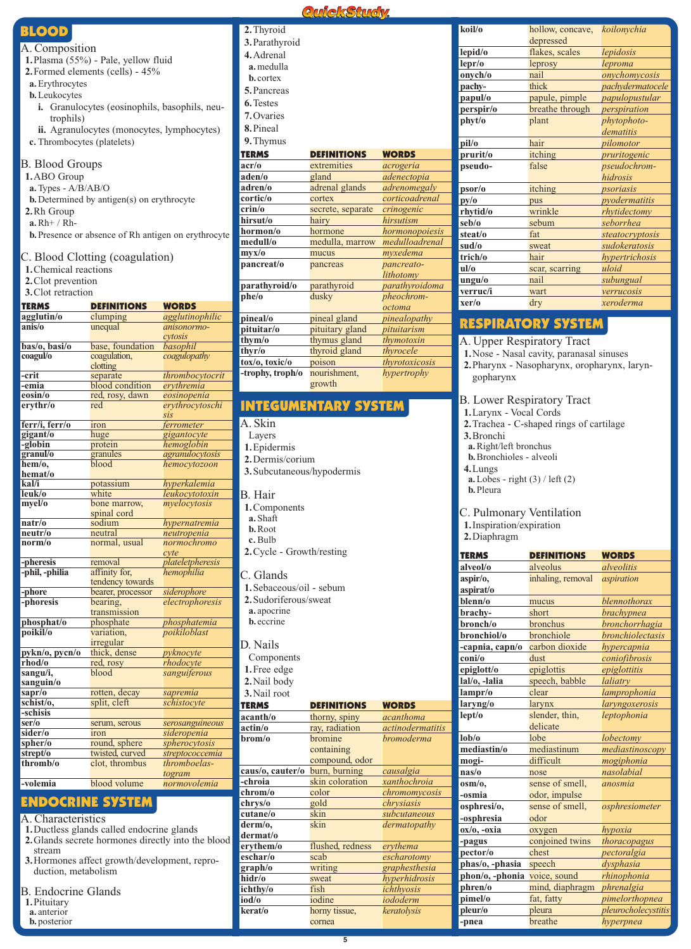| <b>QuickStudy</b> |
|-------------------|
|-------------------|

| <b>BLOOD</b>                         |                                                      |                                | 2. Thyroid                 |
|--------------------------------------|------------------------------------------------------|--------------------------------|----------------------------|
| 3. Parathyr<br>A. Composition        |                                                      |                                |                            |
| 1. Plasma (55%) - Pale, yellow fluid | 4. Adrenal                                           |                                |                            |
| 2. Formed elements (cells) - 45%     | a. medulla                                           |                                |                            |
| a. Erythrocytes                      | <b>b.</b> cortex                                     |                                |                            |
| <b>b.</b> Leukocytes                 | 5. Pancreas                                          |                                |                            |
|                                      | <i>i.</i> Granulocytes (eosinophils, basophils, neu- |                                | 6. Testes                  |
| trophils)                            |                                                      |                                | 7. Ovaries                 |
|                                      | ii. Agranulocytes (monocytes, lymphocytes)           |                                | 8. Pineal                  |
|                                      | c. Thrombocytes (platelets)                          |                                | 9. Thymus                  |
|                                      |                                                      |                                | <b>TERMS</b>               |
| <b>B.</b> Blood Groups               |                                                      |                                | acr/o                      |
| 1.ABO Group                          |                                                      |                                | aden/o                     |
| a. Types - A/B/AB/O                  |                                                      |                                | adren/o<br>cortic/o        |
|                                      | $b$ . Determined by antigen(s) on erythrocyte        |                                | crin/o                     |
| 2.Rh Group                           |                                                      |                                | hirsut/o                   |
| $a. Rh+ / Rh-$                       |                                                      |                                | hormon/o                   |
|                                      | b. Presence or absence of Rh antigen on erythrocyte  |                                | medull/o                   |
|                                      | C. Blood Clotting (coagulation)                      |                                | $\frac{myx}{o}$            |
| 1. Chemical reactions                |                                                      |                                | pancreat/o                 |
| 2. Clot prevention                   |                                                      |                                |                            |
| 3. Clot retraction                   |                                                      |                                | parathyroid                |
| <b>TERMS</b>                         | <b>DEFINITIONS</b>                                   | <b>WORDS</b>                   | phe/o                      |
| agglutin/o                           | clumping                                             | agglutinophilic                | pineal/o                   |
| anis/o                               | unequal                                              | anisonormo-                    | pituitar/o                 |
|                                      | base, foundation                                     | cytosis                        | thym/o                     |
| bas/o, basi/o<br>coagul/o            | coagulation,                                         | basophil<br>coagulopathy       | thyr/o                     |
|                                      | clotting                                             |                                | tox/o, toxic/              |
| -crit                                | separate                                             | thrombocytocrit                | -trophy, trop              |
| -emia                                | blood condition                                      | erythremia                     |                            |
| eosin/o<br>erythr/o                  | red, rosy, dawn<br>red                               | eosinopenia<br>erythrocytoschi | <b>INTEGU</b>              |
|                                      |                                                      | sis                            |                            |
| ferr/i, ferr/o                       | iron                                                 | ferrometer                     | A. Skin                    |
| gigant/o                             | huge                                                 | gigantocyte                    | Layers                     |
| -globin<br>granul/o                  | protein<br>granules                                  | hemoglobin<br>agranulocytosis  | 1. Epiderm                 |
| hem/o,                               | blood                                                | hemocytozoon                   | 2. Dermis/                 |
| hemat/o                              |                                                      |                                | 3. Subcuta                 |
| kal/i<br>leuk/o                      | potassium                                            | hyperkalemia                   |                            |
| myel/o                               | white<br>bone marrow,                                | leukocytotoxin<br>myelocytosis | B. Hair                    |
|                                      | spinal cord                                          |                                | 1. Compon                  |
| natr/o                               | sodium                                               | hypernatremia                  | a. Shaft<br><b>b.</b> Root |
| neutr/o                              | neutral                                              | neutropenia                    | c. Bulb                    |
| norm/o                               | normal, usual                                        | normochromo<br>$c$ <i>vte</i>  | $2.Cycle -$                |
| -pheresis                            | removal                                              | plateletpheresis               |                            |
| -phil, -philia                       | affinity for,                                        | hemophilia                     | C. Glands                  |
|                                      | tendency towards                                     |                                | 1. Sebaceo                 |
| -phore<br>-phoresis                  | bearer, processor<br>bearing,                        | siderophore<br>electrophoresis | 2. Sudorife                |
|                                      | transmission                                         |                                | a. apocrin                 |
| phosphat/o                           | phosphate                                            | phosphatemia                   | <b>b.</b> eccrine          |
| poikil/o                             | variation,                                           | poikiloblast                   |                            |
|                                      | irregular                                            |                                | D. Nails                   |
| pykn/o, pycn/o<br>rhod/o             | thick, dense<br>red, rosy                            | pyknocyte<br>rhodocyte         | Compone                    |
| sangu/i,                             | blood                                                | sanguiferous                   | 1. Free edg                |
| sanguin/o                            |                                                      |                                | 2. Nail bod                |
| sapr/o                               | rotten, decay                                        | sapremia                       | 3. Nail roo                |
| schist/o,<br>-schisis                | split, cleft                                         | schistocyte                    | <b>TERMS</b>               |
| ser/o                                | serum, serous                                        | serosanguineous                | acanth/o                   |
| sider/o                              | iron                                                 | sideropenia                    | actin/o                    |
| spher/o                              | round, sphere                                        | spherocytosis                  | brom/o                     |
| strept/o                             | twisted, curved                                      | streptococcemia                |                            |
| thromb/o                             | clot, thrombus                                       | thromboelas-<br>togram         | caus/o, caut               |
| -volemia                             | blood volume                                         | normovolemia                   | -chroia                    |
|                                      |                                                      |                                | chrom/o                    |
|                                      | <b>ENDOCRINE SYSTEM</b>                              |                                | chrys/o                    |

#### A. Characteristics

- **1.**Ductless glands called endocrine glands **2.**Glands secrete hormones directly into the blood
- stream
- **3.**Hormones affect growth/development, reproduction, metabolism
- B. Endocrine Glands
- **1.**Pituitary **a.** anterior
- 
- **b.** posterior

| 3. Parathyroid   |                    |                |
|------------------|--------------------|----------------|
| 4. Adrenal       |                    |                |
| a. medulla       |                    |                |
| <b>b.</b> cortex |                    |                |
| 5. Pancreas      |                    |                |
| 6. Testes        |                    |                |
| 7. Ovaries       |                    |                |
| 8. Pineal        |                    |                |
| 9. Thymus        |                    |                |
| <b>TERMS</b>     | <b>DEFINITIONS</b> | <b>WORDS</b>   |
| $\arccos$        | extremities        | acrogeria      |
| aden/o           | gland              | adenectopia    |
| adren/o          | adrenal glands     | adrenomegaly   |
| cortic/o         | cortex             | corticoadrenal |
| crin/o           | secrete, separate  | crinogenic     |
| hirsut/o         | hairy              | hirsutism      |
| hormon/o         | hormone            | hormonopoiesis |
| medull/o         | medulla, marrow    | medulloadrenal |
| mvx/o            | mucus              | myxedema       |
| pancreat/o       | pancreas           | pancreato-     |
|                  |                    | lithotomv      |
| parathyroid/o    | parathyroid        | parathyroidoma |
| phe/o            | dusky              | pheochrom-     |
|                  |                    | octoma         |
| pineal/o         | pineal gland       | pinealopathy   |
| pituitar/o       | pituitary gland    | pituitarism    |
| thym/o           | thymus gland       | thymotoxin     |
| thyr/o           | thyroid gland      | thvrocele      |
| tox/o, toxic/o   | poison             | thyrotoxicosis |
| -trophy, troph/o | nourishment,       | hypertrophy    |
|                  | growth             |                |

# **INTEGUMENTARY SYSTEM**

|   | A. Skin                          |                         |                   |
|---|----------------------------------|-------------------------|-------------------|
|   | Layers                           |                         |                   |
|   | 1. Epidermis                     |                         |                   |
|   | 2. Dermis/corium                 |                         |                   |
|   | 3. Subcutaneous/hypodermis       |                         |                   |
|   |                                  |                         |                   |
|   | B. Hair                          |                         |                   |
|   | 1. Components                    |                         |                   |
|   | a. Shaft                         |                         |                   |
|   | <b>b.</b> Root                   |                         |                   |
|   | c. Bulb                          |                         |                   |
|   | 2. Cycle - Growth/resting        |                         |                   |
|   |                                  |                         |                   |
|   | C. Glands                        |                         |                   |
|   | 1. Sebaceous/oil - sebum         |                         |                   |
|   | 2. Sudoriferous/sweat            |                         |                   |
|   |                                  |                         |                   |
|   | a. apocrine<br><b>b.</b> eccrine |                         |                   |
|   |                                  |                         |                   |
|   |                                  |                         |                   |
|   | D. Nails                         |                         |                   |
|   | Components                       |                         |                   |
|   | 1. Free edge                     |                         |                   |
|   | 2. Nail body                     |                         |                   |
|   |                                  |                         |                   |
|   | 3. Nail root                     |                         |                   |
|   | <b>TERMS</b>                     | <b>DEFINITIONS</b>      | <b>WORDS</b>      |
|   | acanth/o                         | thorny, spiny           | acanthoma         |
|   | actin/o                          | ray, radiation          | actinodermatitis  |
|   | brom/o                           | bromine                 | <b>bromoderma</b> |
|   |                                  | containing              |                   |
|   |                                  | compound, odor          |                   |
|   | caus/o, cauter/o                 | burn, burning           | causalgia         |
|   | -chroia                          | skin coloration         | xanthochroia      |
|   | chrom/o                          | color                   | chromomycosis     |
|   | chrys/o                          | gold                    | chrysiasis        |
|   | cutane/o                         | skin                    | subcutaneous      |
|   | derm/o.                          | skin                    | dermatopathy      |
| d | dermat/o                         |                         |                   |
|   | ervthem/o                        | flushed, redness        | ervthema          |
|   | eschar/o                         | scab                    | escharotomy       |
|   | graph/o                          | writing                 | graphesthesia     |
|   | hidr/o                           | sweat                   | hyperhidrosis     |
|   | ichthy/o                         | fish                    | ichthyosis        |
|   | iod/o                            | iodine                  | iododerm          |
|   | kerat/o                          | horny tissue,<br>cornea | keratolysis       |

| koil/o           | hollow, concave, | koilonychia      |
|------------------|------------------|------------------|
|                  | depressed        |                  |
| lepid/o          | flakes, scales   | lepidosis        |
| lepr/o           | leprosy          | leproma          |
| onych/o          | nail             | onychomycosis    |
| pachy-           | thick            | pachydermatocele |
| papul/o          | papule, pimple   | papulopustular   |
| perspir/o        | breathe through  | perspiration     |
| phyt/o           | plant            | phytophoto-      |
|                  |                  | dematitis        |
| pil/o            | hair             | pilomotor        |
| prurit/o         | itching          | pruritogenic     |
| pseudo-          | false            | pseudochrom-     |
|                  |                  | hidrosis         |
| psor/o           | itching          | psoriasis        |
| $\mathbf{p}$ y/o | pus              | pyodermatitis    |
| rhytid/o         | wrinkle          | rhytidectomy     |
| seb/o            | sebum            | seborrhea        |
| steat/o          | fat              | steatocryptosis  |
| sud/o            | sweat            | sudokeratosis    |
| trich/o          | hair             | hypertrichosis   |
| ul/o             | scar, scarring   | uloid            |
| ungu/o           | nail             | subungual        |
| verruc/i         | wart             | verrucosis       |
| xer/o            | dry              | xeroderma        |
|                  |                  |                  |

### **RESPIRATORY SYSTEM**

- A. Upper Respiratory Tract
- **1.**Nose Nasal cavity, paranasal sinuses
- **2.**Pharynx Nasopharynx, oropharynx, laryngopharynx
- B. Lower Respiratory Tract
- **1.**Larynx Vocal Cords
- **2.**Trachea C-shaped rings of cartilage
- **3.**Bronchi
- **a.**Right/left bronchus
- **b.**Bronchioles alveoli
- **4.**Lungs
- $\overline{\mathbf{a}}$ . Lobes right (3) / left (2) **b.**Pleura

### C. Pulmonary Ventilation

- **1.**Inspiration/expiration
- **2.**Diaphragm

| <b>TERMS</b>                 | <b>DEFINITIONS</b> | <b>WORDS</b>        |
|------------------------------|--------------------|---------------------|
| alveol/o                     | alveolus           | alveolitis          |
| aspir/o,                     | inhaling, removal  | aspiration          |
| aspirat/o                    |                    |                     |
| blenn/o                      | mucus              | blennothorax        |
| brachy-                      | short              | brachypnea          |
| bronch/o                     | bronchus           | bronchorrhagia      |
| bronchiol/o                  | bronchiole         | bronchiolectasis    |
| -capnia, capn/o              | carbon dioxide     | hypercapnia         |
| coni/o                       | dust               | coniofibrosis       |
| epiglott/o                   | epiglottis         | epiglottitis        |
| lal/o, -lalia                | speech, babble     | laliatry            |
| lampr/o                      | clear              | lamprophonia        |
| laryng/o                     | larynx             | laryngoxerosis      |
| lept/o                       | slender, thin,     | leptophonia         |
|                              | delicate           |                     |
| $\bf{lob}/\bf{0}$            | lobe               | lobectomy           |
| mediastin/o                  | mediastinum        | mediastinoscopy     |
| mogi-                        | difficult          | mogiphonia          |
| nas/o                        | nose               | nasolabial          |
| osm/o,                       | sense of smell,    | anosmia             |
| -osmia                       | odor, impulse      |                     |
| osphresi/o,                  | sense of smell,    | osphresiometer      |
| -osphresia                   | odor               |                     |
| ox/o, -oxia                  | oxygen             | hypoxia             |
| -pagus                       | conjoined twins    | thoracopagus        |
| pector/o                     | chest              | pectoralgia         |
| phas/o, -phasia              | speech             | dysphasia           |
| phon/o, -phonia voice, sound |                    | rhinophonia         |
| phren/o                      | mind, diaphragm    | phrenalgia          |
| pimel/o                      | fat, fatty         | pimelorthopnea      |
| pleur/o                      | pleura             | pleurocholecystitis |
| -pnea                        | breathe            | hyperpnea           |